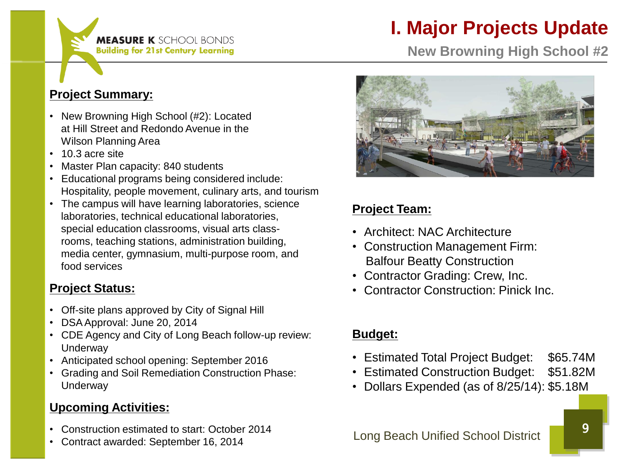

# **I. Major Projects Update**

**New Browning High School #2**

#### **Project Summary:**

- New Browning High School (#2): Located at Hill Street and Redondo Avenue in the Wilson Planning Area
- 10.3 acre site
- Master Plan capacity: 840 students
- Educational programs being considered include: Hospitality, people movement, culinary arts, and tourism
- The campus will have learning laboratories, science laboratories, technical educational laboratories, special education classrooms, visual arts class rooms, teaching stations, administration building, media center, gymnasium, multi-purpose room, and food services

#### **Project Status:**

- Off-site plans approved by City of Signal Hill
- DSA Approval: June 20, 2014
- CDE Agency and City of Long Beach follow-up review: **Underway**
- Anticipated school opening: September 2016
- Grading and Soil Remediation Construction Phase: **Underway**

#### **Upcoming Activities:**

- Construction estimated to start: October 2014
- Contract awarded: September 16, 2014



#### **Project Team:**

- Architect: NAC Architecture
- Construction Management Firm: Balfour Beatty Construction
- Contractor Grading: Crew, Inc.
- Contractor Construction: Pinick Inc.

### **Budget:**

- Estimated Total Project Budget: \$65.74M
- Estimated Construction Budget: \$51.82M
- Dollars Expended (as of 8/25/14): \$5.18M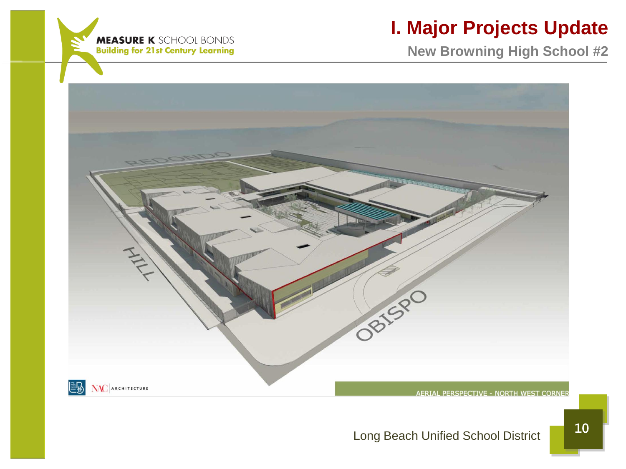

### **I. Major Projects Update**

**New Browning High School #2**